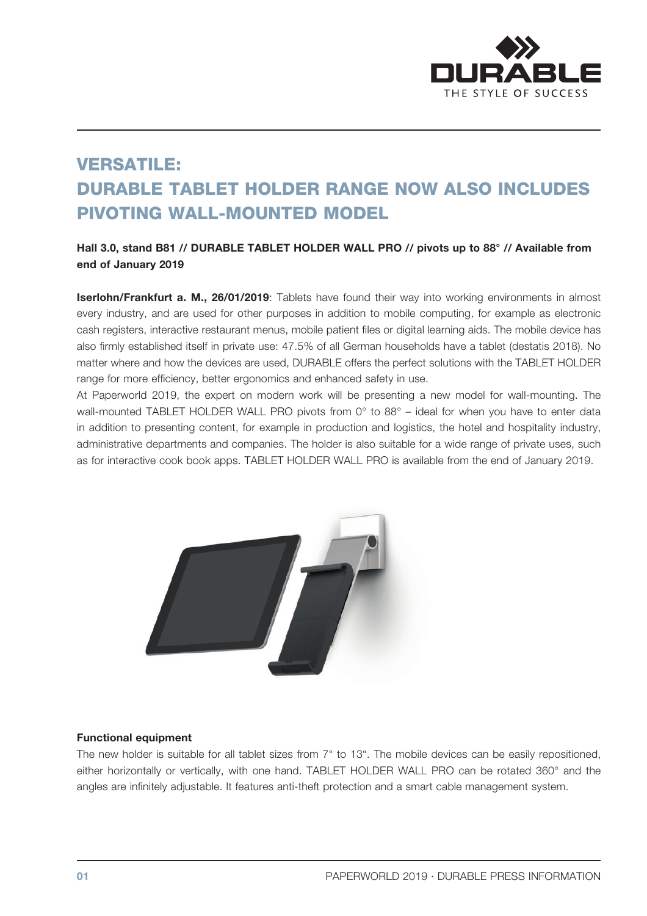

# VERSATILE: DURABLE TABLET HOLDER RANGE NOW ALSO INCLUDES PIVOTING WALL-MOUNTED MODEL

### Hall 3.0, stand B81 // DURABLE TABLET HOLDER WALL PRO // pivots up to 88° // Available from end of January 2019

Iserlohn/Frankfurt a. M., 26/01/2019: Tablets have found their way into working environments in almost every industry, and are used for other purposes in addition to mobile computing, for example as electronic cash registers, interactive restaurant menus, mobile patient files or digital learning aids. The mobile device has also firmly established itself in private use: 47.5% of all German households have a tablet (destatis 2018). No matter where and how the devices are used, DURABLE offers the perfect solutions with the TABLET HOLDER range for more efficiency, better ergonomics and enhanced safety in use.

At Paperworld 2019, the expert on modern work will be presenting a new model for wall-mounting. The wall-mounted TABLET HOLDER WALL PRO pivots from 0° to 88° – ideal for when you have to enter data in addition to presenting content, for example in production and logistics, the hotel and hospitality industry, administrative departments and companies. The holder is also suitable for a wide range of private uses, such as for interactive cook book apps. TABLET HOLDER WALL PRO is available from the end of January 2019.



#### Functional equipment

The new holder is suitable for all tablet sizes from 7" to 13". The mobile devices can be easily repositioned, either horizontally or vertically, with one hand. TABLET HOLDER WALL PRO can be rotated 360° and the angles are infinitely adjustable. It features anti-theft protection and a smart cable management system.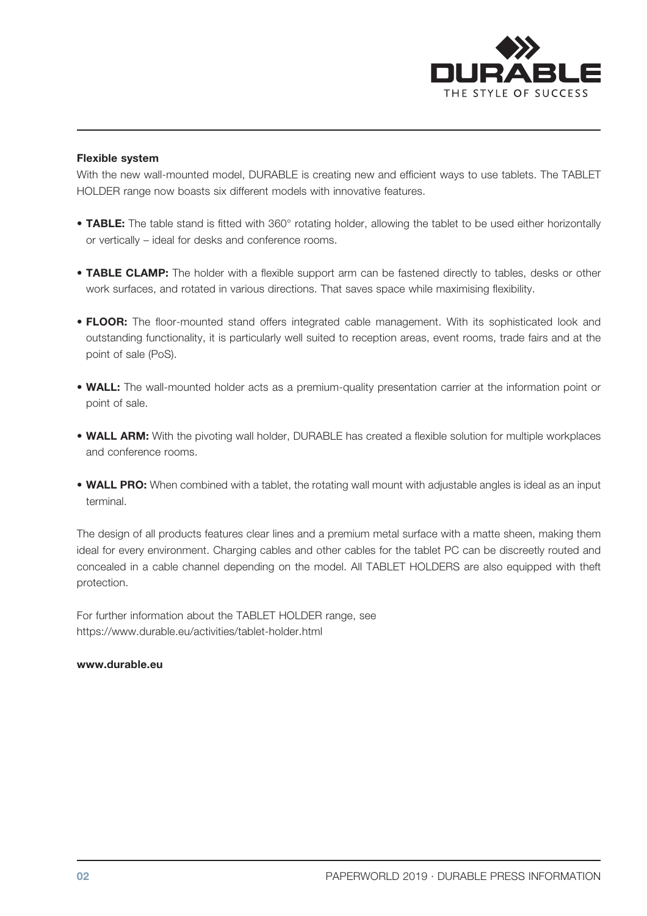

#### Flexible system

With the new wall-mounted model, DURABLE is creating new and efficient ways to use tablets. The TABLET HOLDER range now boasts six different models with innovative features.

- TABLE: The table stand is fitted with 360° rotating holder, allowing the tablet to be used either horizontally or vertically – ideal for desks and conference rooms.
- TABLE CLAMP: The holder with a flexible support arm can be fastened directly to tables, desks or other work surfaces, and rotated in various directions. That saves space while maximising flexibility.
- FLOOR: The floor-mounted stand offers integrated cable management. With its sophisticated look and outstanding functionality, it is particularly well suited to reception areas, event rooms, trade fairs and at the point of sale (PoS).
- WALL: The wall-mounted holder acts as a premium-quality presentation carrier at the information point or point of sale.
- WALL ARM: With the pivoting wall holder, DURABLE has created a flexible solution for multiple workplaces and conference rooms.
- WALL PRO: When combined with a tablet, the rotating wall mount with adjustable angles is ideal as an input terminal.

The design of all products features clear lines and a premium metal surface with a matte sheen, making them ideal for every environment. Charging cables and other cables for the tablet PC can be discreetly routed and concealed in a cable channel depending on the model. All TABLET HOLDERS are also equipped with theft protection.

For further information about the TABLET HOLDER range, see https://www.durable.eu/activities/tablet-holder.html

#### www.durable.eu